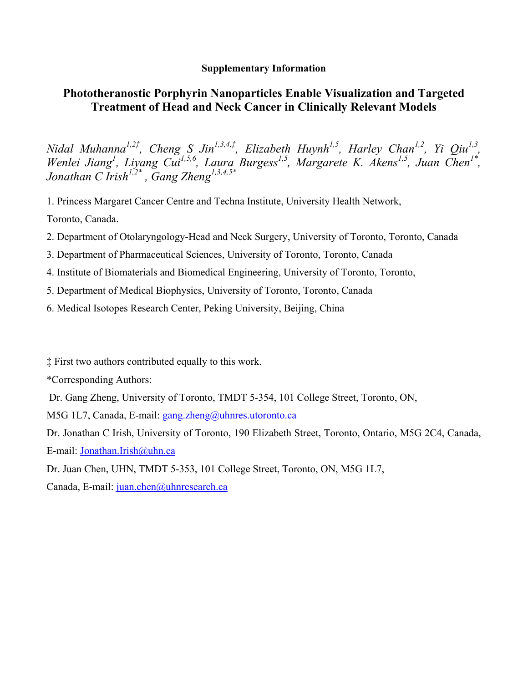## **Supplementary Information**

## **Phototheranostic Porphyrin Nanoparticles Enable Visualization and Targeted Treatment of Head and Neck Cancer in Clinically Relevant Models**

*Nidal Muhanna<sup>1,2‡</sup>, Cheng S Jin<sup>1,3,4,‡</sup>, Elizabeth Huynh<sup>1,5</sup>, Harley Chan<sup>1,2</sup>, Yi Qiu<sup>1,3</sup>, Wenlei Jiang<sup>1</sup>*, *Liyang Cui<sup>1,5,6</sup>, Laura Burgess<sup>1,5</sup>, Margarete K. Akens<sup>1,5</sup>, Juan Chen<sup>1\*</sup>, Jonathan C Irish1,2\* , Gang Zheng1,3,4,5\**

1. Princess Margaret Cancer Centre and Techna Institute, University Health Network, Toronto, Canada.

- 2. Department of Otolaryngology-Head and Neck Surgery, University of Toronto, Toronto, Canada
- 3. Department of Pharmaceutical Sciences, University of Toronto, Toronto, Canada
- 4. Institute of Biomaterials and Biomedical Engineering, University of Toronto, Toronto,
- 5. Department of Medical Biophysics, University of Toronto, Toronto, Canada
- 6. Medical Isotopes Research Center, Peking University, Beijing, China

‡ First two authors contributed equally to this work.

\*Corresponding Authors:

Dr. Gang Zheng, University of Toronto, TMDT 5-354, 101 College Street, Toronto, ON,

M5G 1L7, Canada, E-mail: gang.zheng@uhnres.utoronto.ca

Dr. Jonathan C Irish, University of Toronto, 190 Elizabeth Street, Toronto, Ontario, M5G 2C4, Canada, E-mail: Jonathan.Irish@uhn.ca

Dr. Juan Chen, UHN, TMDT 5-353, 101 College Street, Toronto, ON, M5G 1L7,

Canada, E-mail: juan.chen@uhnresearch.ca